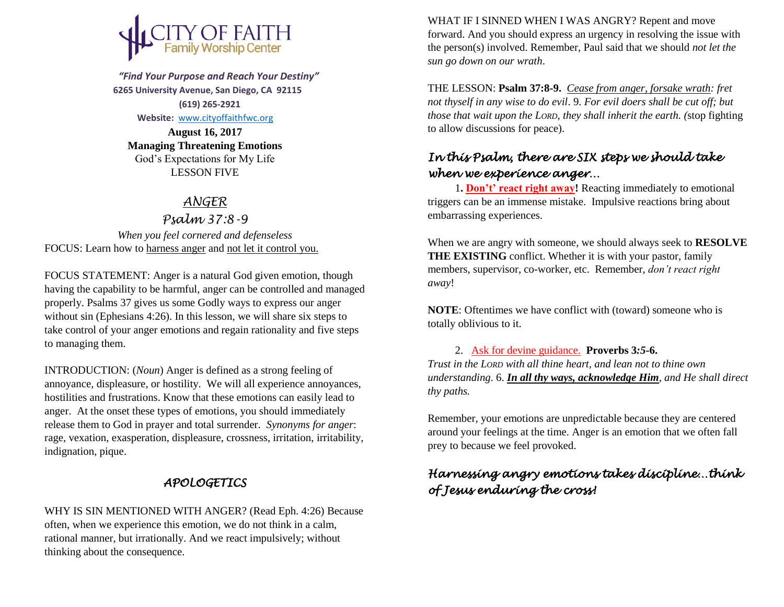

 *"Find Your Purpose and Reach Your Destiny"*  **6265 University Avenue, San Diego, CA 92115 (619) 265-2921**

 **Website:** [www.cityoffaithfwc.org](http://www.cityoffaithfwc.org/)

**August 16, 2017 Managing Threatening Emotions** God's Expectations for My Life LESSON FIVE

### *ANGER*

*Psalm 37:8-9 When you feel cornered and defenseless* FOCUS: Learn how to harness anger and not let it control you.

FOCUS STATEMENT: Anger is a natural God given emotion, though having the capability to be harmful, anger can be controlled and managed properly. Psalms 37 gives us some Godly ways to express our anger without sin (Ephesians 4:26). In this lesson, we will share six steps to take control of your anger emotions and regain rationality and five steps to managing them.

INTRODUCTION: (*Noun*) Anger is defined as a strong feeling of annoyance, displeasure, or hostility. We will all experience annoyances, hostilities and frustrations. Know that these emotions can easily lead to anger. At the onset these types of emotions, you should immediately release them to God in prayer and total surrender. *Synonyms for anger*: rage, vexation, exasperation, displeasure, crossness, irritation, irritability, indignation, pique.

## *APOLOGETICS*

WHY IS SIN MENTIONED WITH ANGER? (Read Eph. 4:26) Because often, when we experience this emotion, we do not think in a calm, rational manner, but irrationally. And we react impulsively; without thinking about the consequence.

WHAT IF I SINNED WHEN I WAS ANGRY? Repent and move forward. And you should express an urgency in resolving the issue with the person(s) involved. Remember, Paul said that we should *not let the sun go down on our wrath*.

THE LESSON: **Psalm 37:8-9.** *Cease from anger, forsake wrath: fret not thyself in any wise to do evil*. 9. *For evil doers shall be cut off; but those that wait upon the LORD, they shall inherit the earth. (*stop fighting to allow discussions for peace).

## *In this Psalm, there are SIX steps we should take when we experience anger…*

1**. Don't' react right away!** Reacting immediately to emotional triggers can be an immense mistake. Impulsive reactions bring about embarrassing experiences.

When we are angry with someone, we should always seek to **RESOLVE THE EXISTING** conflict. Whether it is with your pastor, family members, supervisor, co-worker, etc. Remember, *don't react right away*!

**NOTE**: Oftentimes we have conflict with (toward) someone who is totally oblivious to it.

2. Ask for devine guidance. **Proverbs 3***:5***-6.**

*Trust in the LORD with all thine heart, and lean not to thine own understanding*. 6. *In all thy ways, acknowledge Him, and He shall direct thy paths.* 

Remember, your emotions are unpredictable because they are centered around your feelings at the time. Anger is an emotion that we often fall prey to because we feel provoked.

## *Harnessing angry emotions takes discipline…think of Jesus enduring the cross!*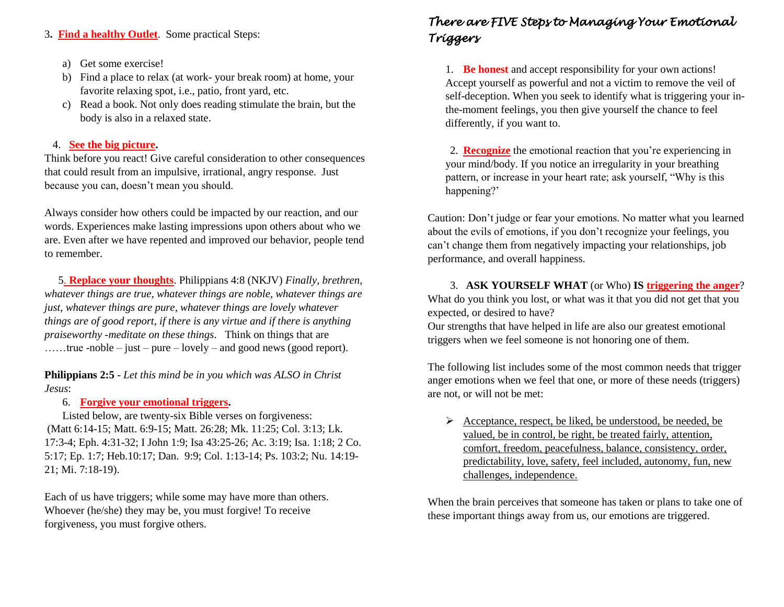#### 3**. Find a healthy Outlet**. Some practical Steps:

- a) Get some exercise!
- b) Find a place to relax (at work- your break room) at home, your favorite relaxing spot, i.e., patio, front yard, etc.
- c) Read a book. Not only does reading stimulate the brain, but the body is also in a relaxed state.

#### 4. **See the big picture.**

Think before you react! Give careful consideration to other consequences that could result from an impulsive, irrational, angry response. Just because you can, doesn't mean you should.

Always consider how others could be impacted by our reaction, and our words. Experiences make lasting impressions upon others about who we are. Even after we have repented and improved our behavior, people tend to remember.

 5. **Replace your thoughts**. Philippians 4:8 (NKJV) *Finally, brethren, whatever things are true, whatever things are noble, whatever things are just, whatever things are pure, whatever things are lovely whatever things are of good report, if there is any virtue and if there is anything praiseworthy -meditate on these things*. Think on things that are ……true -noble – just – pure – lovely – and good news (good report).

**Philippians 2:5** - *Let this mind be in you which was ALSO in Christ Jesus*:

#### 6. **Forgive your emotional triggers.**

Listed below, are twenty-six Bible verses on forgiveness: (Matt 6:14-15; Matt. 6:9-15; Matt. 26:28; Mk. 11:25; Col. 3:13; Lk. 17:3-4; Eph. 4:31-32; I John 1:9; Isa 43:25-26; Ac. 3:19; Isa. 1:18; 2 Co. 5:17; Ep. 1:7; Heb.10:17; Dan. 9:9; Col. 1:13-14; Ps. 103:2; Nu. 14:19- 21; Mi. 7:18-19).

Each of us have triggers; while some may have more than others. Whoever (he/she) they may be, you must forgive! To receive forgiveness, you must forgive others.

# *There are FIVE Steps to Managing Your Emotional Triggers*

1. **Be honest** and accept responsibility for your own actions! Accept yourself as powerful and not a victim to remove the veil of self-deception. When you seek to identify what is triggering your inthe-moment feelings, you then give yourself the chance to feel differently, if you want to.

2. **Recognize** the emotional reaction that you're experiencing in your mind/body. If you notice an irregularity in your breathing pattern, or increase in your heart rate; ask yourself, "Why is this happening?'

Caution: Don't judge or fear your emotions. No matter what you learned about the evils of emotions, if you don't recognize your feelings, you can't change them from negatively impacting your relationships, job performance, and overall happiness.

3. **ASK YOURSELF WHAT** (or Who) **IS triggering the anger**? What do you think you lost, or what was it that you did not get that you expected, or desired to have?

Our strengths that have helped in life are also our greatest emotional triggers when we feel someone is not honoring one of them.

The following list includes some of the most common needs that trigger anger emotions when we feel that one, or more of these needs (triggers) are not, or will not be met:

 $\triangleright$  Acceptance, respect, be liked, be understood, be needed, be valued, be in control, be right, be treated fairly, attention, comfort, freedom, peacefulness, balance, consistency, order, predictability, love, safety, feel included, autonomy, fun, new challenges, independence.

When the brain perceives that someone has taken or plans to take one of these important things away from us, our emotions are triggered.